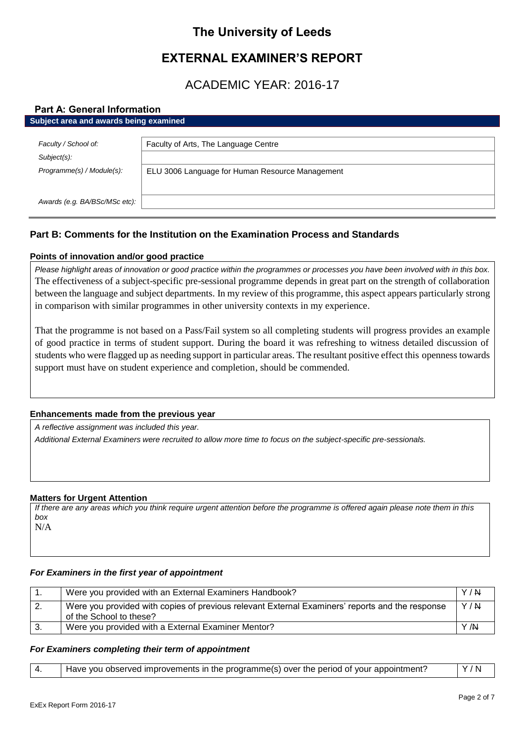# **The University of Leeds**

# **EXTERNAL EXAMINER'S REPORT**

# ACADEMIC YEAR: 2016-17

# **Part A: General Information**

| Subject area and awards being examined |                                                 |  |
|----------------------------------------|-------------------------------------------------|--|
|                                        |                                                 |  |
| Faculty / School of:                   | Faculty of Arts, The Language Centre            |  |
| Subject(s):                            |                                                 |  |
| Programme(s) / Module(s):              | ELU 3006 Language for Human Resource Management |  |
|                                        |                                                 |  |
|                                        |                                                 |  |
| Awards (e.g. BA/BSc/MSc etc):          |                                                 |  |

# **Part B: Comments for the Institution on the Examination Process and Standards**

# **Points of innovation and/or good practice**

*Please highlight areas of innovation or good practice within the programmes or processes you have been involved with in this box.* The effectiveness of a subject-specific pre-sessional programme depends in great part on the strength of collaboration between the language and subject departments. In my review of this programme, this aspect appears particularly strong in comparison with similar programmes in other university contexts in my experience.

That the programme is not based on a Pass/Fail system so all completing students will progress provides an example of good practice in terms of student support. During the board it was refreshing to witness detailed discussion of students who were flagged up as needing support in particular areas. The resultant positive effect this openness towards support must have on student experience and completion, should be commended.

# **Enhancements made from the previous year**

*A reflective assignment was included this year.*

*Additional External Examiners were recruited to allow more time to focus on the subject-specific pre-sessionals.*

# **Matters for Urgent Attention**

*If there are any areas which you think require urgent attention before the programme is offered again please note them in this box* N/A

# *For Examiners in the first year of appointment*

|     | Were you provided with an External Examiners Handbook?                                                                     | Y/N  |
|-----|----------------------------------------------------------------------------------------------------------------------------|------|
| -2. | Were you provided with copies of previous relevant External Examiners' reports and the response<br>of the School to these? | Y/N  |
|     | Were you provided with a External Examiner Mentor?                                                                         | Y /N |

### *For Examiners completing their term of appointment*

|  | Have you observed improvements in the programme(s) over the period of your appointment? | Y/N |
|--|-----------------------------------------------------------------------------------------|-----|
|--|-----------------------------------------------------------------------------------------|-----|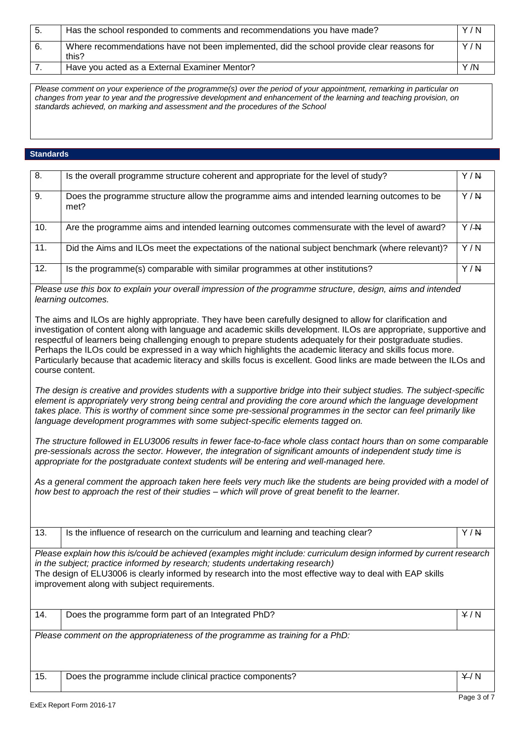| -5. | Has the school responded to comments and recommendations you have made?                            | Y/N  |
|-----|----------------------------------------------------------------------------------------------------|------|
| -6. | Where recommendations have not been implemented, did the school provide clear reasons for<br>this? | Y/N  |
|     | Have you acted as a External Examiner Mentor?                                                      | Y /N |

*Please comment on your experience of the programme(s) over the period of your appointment, remarking in particular on changes from year to year and the progressive development and enhancement of the learning and teaching provision, on standards achieved, on marking and assessment and the procedures of the School*

## **Standards**

| 8.  | Is the overall programme structure coherent and appropriate for the level of study?                                                                                                                                                                                                                                                                                                                                                                                                                                                                                                                                                                                                                                                                                                                                                                                                                                                                                                                                                                                                                                                                                                                                                                                                                                                                                                                                                                                                                                                                                                                                                                                                                                                                                | Y/N              |
|-----|--------------------------------------------------------------------------------------------------------------------------------------------------------------------------------------------------------------------------------------------------------------------------------------------------------------------------------------------------------------------------------------------------------------------------------------------------------------------------------------------------------------------------------------------------------------------------------------------------------------------------------------------------------------------------------------------------------------------------------------------------------------------------------------------------------------------------------------------------------------------------------------------------------------------------------------------------------------------------------------------------------------------------------------------------------------------------------------------------------------------------------------------------------------------------------------------------------------------------------------------------------------------------------------------------------------------------------------------------------------------------------------------------------------------------------------------------------------------------------------------------------------------------------------------------------------------------------------------------------------------------------------------------------------------------------------------------------------------------------------------------------------------|------------------|
| 9.  | Does the programme structure allow the programme aims and intended learning outcomes to be<br>met?                                                                                                                                                                                                                                                                                                                                                                                                                                                                                                                                                                                                                                                                                                                                                                                                                                                                                                                                                                                                                                                                                                                                                                                                                                                                                                                                                                                                                                                                                                                                                                                                                                                                 | Y/N              |
| 10. | Are the programme aims and intended learning outcomes commensurate with the level of award?                                                                                                                                                                                                                                                                                                                                                                                                                                                                                                                                                                                                                                                                                                                                                                                                                                                                                                                                                                                                                                                                                                                                                                                                                                                                                                                                                                                                                                                                                                                                                                                                                                                                        | Y/M              |
| 11. | Did the Aims and ILOs meet the expectations of the national subject benchmark (where relevant)?                                                                                                                                                                                                                                                                                                                                                                                                                                                                                                                                                                                                                                                                                                                                                                                                                                                                                                                                                                                                                                                                                                                                                                                                                                                                                                                                                                                                                                                                                                                                                                                                                                                                    | Y/N              |
| 12. | Is the programme(s) comparable with similar programmes at other institutions?                                                                                                                                                                                                                                                                                                                                                                                                                                                                                                                                                                                                                                                                                                                                                                                                                                                                                                                                                                                                                                                                                                                                                                                                                                                                                                                                                                                                                                                                                                                                                                                                                                                                                      | $\overline{Y/N}$ |
| 13. | Please use this box to explain your overall impression of the programme structure, design, aims and intended<br>learning outcomes.<br>The aims and ILOs are highly appropriate. They have been carefully designed to allow for clarification and<br>investigation of content along with language and academic skills development. ILOs are appropriate, supportive and<br>respectful of learners being challenging enough to prepare students adequately for their postgraduate studies.<br>Perhaps the ILOs could be expressed in a way which highlights the academic literacy and skills focus more.<br>Particularly because that academic literacy and skills focus is excellent. Good links are made between the ILOs and<br>course content.<br>The design is creative and provides students with a supportive bridge into their subject studies. The subject-specific<br>element is appropriately very strong being central and providing the core around which the language development<br>takes place. This is worthy of comment since some pre-sessional programmes in the sector can feel primarily like<br>language development programmes with some subject-specific elements tagged on.<br>The structure followed in ELU3006 results in fewer face-to-face whole class contact hours than on some comparable<br>pre-sessionals across the sector. However, the integration of significant amounts of independent study time is<br>appropriate for the postgraduate context students will be entering and well-managed here.<br>As a general comment the approach taken here feels very much like the students are being provided with a model of<br>how best to approach the rest of their studies - which will prove of great benefit to the learner. | Y/N              |
|     | Is the influence of research on the curriculum and learning and teaching clear?                                                                                                                                                                                                                                                                                                                                                                                                                                                                                                                                                                                                                                                                                                                                                                                                                                                                                                                                                                                                                                                                                                                                                                                                                                                                                                                                                                                                                                                                                                                                                                                                                                                                                    |                  |
|     | Please explain how this is/could be achieved (examples might include: curriculum design informed by current research<br>in the subject; practice informed by research; students undertaking research)<br>The design of ELU3006 is clearly informed by research into the most effective way to deal with EAP skills<br>improvement along with subject requirements.                                                                                                                                                                                                                                                                                                                                                                                                                                                                                                                                                                                                                                                                                                                                                                                                                                                                                                                                                                                                                                                                                                                                                                                                                                                                                                                                                                                                 |                  |
| 14. | Does the programme form part of an Integrated PhD?                                                                                                                                                                                                                                                                                                                                                                                                                                                                                                                                                                                                                                                                                                                                                                                                                                                                                                                                                                                                                                                                                                                                                                                                                                                                                                                                                                                                                                                                                                                                                                                                                                                                                                                 | Y/N              |
|     | Please comment on the appropriateness of the programme as training for a PhD:                                                                                                                                                                                                                                                                                                                                                                                                                                                                                                                                                                                                                                                                                                                                                                                                                                                                                                                                                                                                                                                                                                                                                                                                                                                                                                                                                                                                                                                                                                                                                                                                                                                                                      |                  |
| 15. | Does the programme include clinical practice components?                                                                                                                                                                                                                                                                                                                                                                                                                                                                                                                                                                                                                                                                                                                                                                                                                                                                                                                                                                                                                                                                                                                                                                                                                                                                                                                                                                                                                                                                                                                                                                                                                                                                                                           | Y/N              |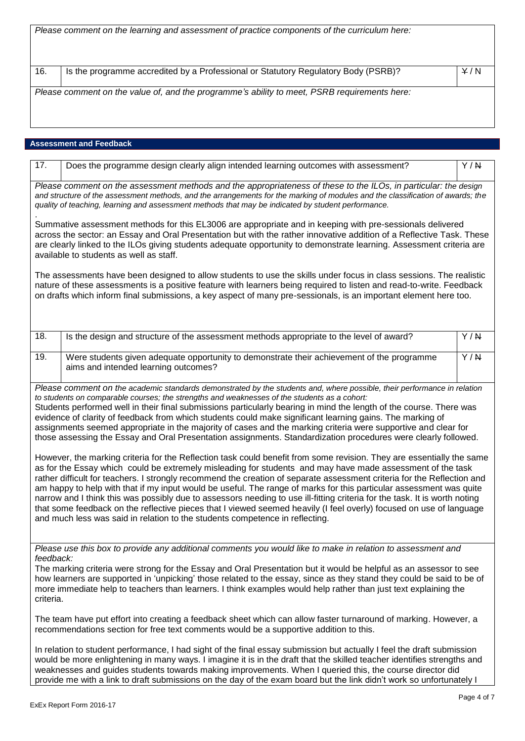|                        | Please comment on the learning and assessment of practice components of the curriculum here:                                                                                                                                                                                                                                                                                                                                                                                                                                                                                                                                                                                                                                                                                                                                                                                                                                                                                                                                                                                                                                                                                                                                                                                                                                                                                                                                                                                                                                   |                  |
|------------------------|--------------------------------------------------------------------------------------------------------------------------------------------------------------------------------------------------------------------------------------------------------------------------------------------------------------------------------------------------------------------------------------------------------------------------------------------------------------------------------------------------------------------------------------------------------------------------------------------------------------------------------------------------------------------------------------------------------------------------------------------------------------------------------------------------------------------------------------------------------------------------------------------------------------------------------------------------------------------------------------------------------------------------------------------------------------------------------------------------------------------------------------------------------------------------------------------------------------------------------------------------------------------------------------------------------------------------------------------------------------------------------------------------------------------------------------------------------------------------------------------------------------------------------|------------------|
|                        |                                                                                                                                                                                                                                                                                                                                                                                                                                                                                                                                                                                                                                                                                                                                                                                                                                                                                                                                                                                                                                                                                                                                                                                                                                                                                                                                                                                                                                                                                                                                |                  |
| 16.                    | Is the programme accredited by a Professional or Statutory Regulatory Body (PSRB)?                                                                                                                                                                                                                                                                                                                                                                                                                                                                                                                                                                                                                                                                                                                                                                                                                                                                                                                                                                                                                                                                                                                                                                                                                                                                                                                                                                                                                                             | Y/N              |
|                        | Please comment on the value of, and the programme's ability to meet, PSRB requirements here:                                                                                                                                                                                                                                                                                                                                                                                                                                                                                                                                                                                                                                                                                                                                                                                                                                                                                                                                                                                                                                                                                                                                                                                                                                                                                                                                                                                                                                   |                  |
|                        | <b>Assessment and Feedback</b>                                                                                                                                                                                                                                                                                                                                                                                                                                                                                                                                                                                                                                                                                                                                                                                                                                                                                                                                                                                                                                                                                                                                                                                                                                                                                                                                                                                                                                                                                                 |                  |
| 17.                    | Does the programme design clearly align intended learning outcomes with assessment?                                                                                                                                                                                                                                                                                                                                                                                                                                                                                                                                                                                                                                                                                                                                                                                                                                                                                                                                                                                                                                                                                                                                                                                                                                                                                                                                                                                                                                            | Y/N              |
|                        | Please comment on the assessment methods and the appropriateness of these to the ILOs, in particular: the design<br>and structure of the assessment methods, and the arrangements for the marking of modules and the classification of awards; the<br>quality of teaching, learning and assessment methods that may be indicated by student performance.                                                                                                                                                                                                                                                                                                                                                                                                                                                                                                                                                                                                                                                                                                                                                                                                                                                                                                                                                                                                                                                                                                                                                                       |                  |
|                        | Summative assessment methods for this EL3006 are appropriate and in keeping with pre-sessionals delivered<br>across the sector: an Essay and Oral Presentation but with the rather innovative addition of a Reflective Task. These<br>are clearly linked to the ILOs giving students adequate opportunity to demonstrate learning. Assessment criteria are<br>available to students as well as staff.                                                                                                                                                                                                                                                                                                                                                                                                                                                                                                                                                                                                                                                                                                                                                                                                                                                                                                                                                                                                                                                                                                                          |                  |
|                        | The assessments have been designed to allow students to use the skills under focus in class sessions. The realistic<br>nature of these assessments is a positive feature with learners being required to listen and read-to-write. Feedback<br>on drafts which inform final submissions, a key aspect of many pre-sessionals, is an important element here too.                                                                                                                                                                                                                                                                                                                                                                                                                                                                                                                                                                                                                                                                                                                                                                                                                                                                                                                                                                                                                                                                                                                                                                |                  |
| 18.                    | Is the design and structure of the assessment methods appropriate to the level of award?                                                                                                                                                                                                                                                                                                                                                                                                                                                                                                                                                                                                                                                                                                                                                                                                                                                                                                                                                                                                                                                                                                                                                                                                                                                                                                                                                                                                                                       | Y/N              |
| 19.                    | Were students given adequate opportunity to demonstrate their achievement of the programme<br>aims and intended learning outcomes?                                                                                                                                                                                                                                                                                                                                                                                                                                                                                                                                                                                                                                                                                                                                                                                                                                                                                                                                                                                                                                                                                                                                                                                                                                                                                                                                                                                             | $\overline{Y/R}$ |
|                        | Please comment on the academic standards demonstrated by the students and, where possible, their performance in relation<br>to students on comparable courses; the strengths and weaknesses of the students as a cohort:<br>Students performed well in their final submissions particularly bearing in mind the length of the course. There was<br>evidence of clarity of feedback from which students could make significant learning gains. The marking of<br>assignments seemed appropriate in the majority of cases and the marking criteria were supportive and clear for<br>those assessing the Essay and Oral Presentation assignments. Standardization procedures were clearly followed.<br>However, the marking criteria for the Reflection task could benefit from some revision. They are essentially the same<br>as for the Essay which could be extremely misleading for students and may have made assessment of the task<br>rather difficult for teachers. I strongly recommend the creation of separate assessment criteria for the Reflection and<br>am happy to help with that if my input would be useful. The range of marks for this particular assessment was quite<br>narrow and I think this was possibly due to assessors needing to use ill-fitting criteria for the task. It is worth noting<br>that some feedback on the reflective pieces that I viewed seemed heavily (I feel overly) focused on use of language<br>and much less was said in relation to the students competence in reflecting. |                  |
| feedback:<br>criteria. | Please use this box to provide any additional comments you would like to make in relation to assessment and<br>The marking criteria were strong for the Essay and Oral Presentation but it would be helpful as an assessor to see<br>how learners are supported in 'unpicking' those related to the essay, since as they stand they could be said to be of<br>more immediate help to teachers than learners. I think examples would help rather than just text explaining the                                                                                                                                                                                                                                                                                                                                                                                                                                                                                                                                                                                                                                                                                                                                                                                                                                                                                                                                                                                                                                                  |                  |
|                        | The team have put effort into creating a feedback sheet which can allow faster turnaround of marking. However, a<br>recommendations section for free text comments would be a supportive addition to this.                                                                                                                                                                                                                                                                                                                                                                                                                                                                                                                                                                                                                                                                                                                                                                                                                                                                                                                                                                                                                                                                                                                                                                                                                                                                                                                     |                  |

In relation to student performance, I had sight of the final essay submission but actually I feel the draft submission would be more enlightening in many ways. I imagine it is in the draft that the skilled teacher identifies strengths and weaknesses and guides students towards making improvements. When I queried this, the course director did provide me with a link to draft submissions on the day of the exam board but the link didn't work so unfortunately I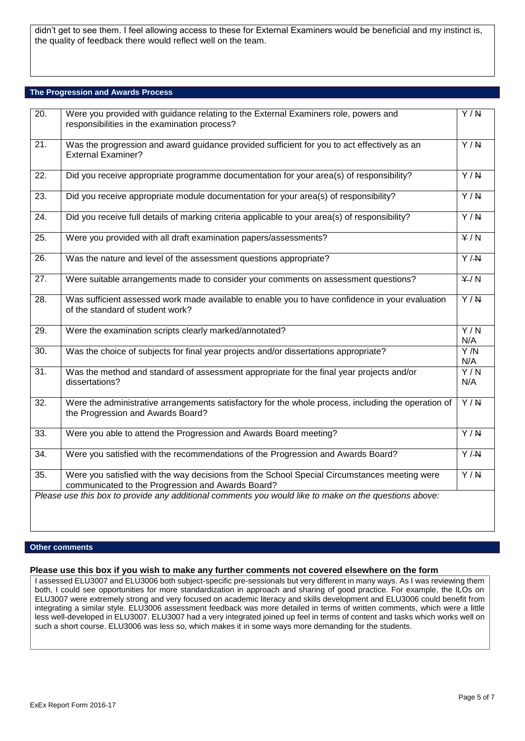didn't get to see them. I feel allowing access to these for External Examiners would be beneficial and my instinct is, the quality of feedback there would reflect well on the team.

#### **The Progression and Awards Process**

| $\overline{20}$ . | Were you provided with guidance relating to the External Examiners role, powers and<br>responsibilities in the examination process?               | Y/N                     |
|-------------------|---------------------------------------------------------------------------------------------------------------------------------------------------|-------------------------|
| $\overline{21}$ . | Was the progression and award guidance provided sufficient for you to act effectively as an<br><b>External Examiner?</b>                          | Y/N                     |
| $\overline{22}$ . | Did you receive appropriate programme documentation for your area(s) of responsibility?                                                           | $\overline{Y/N}$        |
| $\overline{23}$ . | Did you receive appropriate module documentation for your area(s) of responsibility?                                                              | $\overline{Y/N}$        |
| 24.               | Did you receive full details of marking criteria applicable to your area(s) of responsibility?                                                    | $\overline{Y/R}$        |
| $\overline{25}$ . | Were you provided with all draft examination papers/assessments?                                                                                  | $\overline{Y/N}$        |
| $\overline{26}$ . | Was the nature and level of the assessment questions appropriate?                                                                                 | $\overline{Y/H}$        |
| 27.               | Were suitable arrangements made to consider your comments on assessment questions?                                                                | Y/N                     |
| $\overline{28}$ . | Was sufficient assessed work made available to enable you to have confidence in your evaluation<br>of the standard of student work?               | $\overline{Y/N}$        |
| 29.               | Were the examination scripts clearly marked/annotated?                                                                                            | Y/N<br>N/A              |
| 30.               | Was the choice of subjects for final year projects and/or dissertations appropriate?                                                              | Y/N<br>N/A              |
| $\overline{31}$ . | Was the method and standard of assessment appropriate for the final year projects and/or<br>dissertations?                                        | $\overline{Y/N}$<br>N/A |
| 32.               | Were the administrative arrangements satisfactory for the whole process, including the operation of<br>the Progression and Awards Board?          | $\overline{Y/R}$        |
| 33.               | Were you able to attend the Progression and Awards Board meeting?                                                                                 | $\overline{Y/N}$        |
| 34.               | Were you satisfied with the recommendations of the Progression and Awards Board?                                                                  | $\overline{Y/H}$        |
| 35.               | Were you satisfied with the way decisions from the School Special Circumstances meeting were<br>communicated to the Progression and Awards Board? | $\overline{Y/N}$        |
|                   | Please use this box to provide any additional comments you would like to make on the questions above:                                             |                         |

#### **Other comments**

#### **Please use this box if you wish to make any further comments not covered elsewhere on the form**

I assessed ELU3007 and ELU3006 both subject-specific pre-sessionals but very different in many ways. As I was reviewing them both, I could see opportunities for more standardization in approach and sharing of good practice. For example, the ILOs on ELU3007 were extremely strong and very focused on academic literacy and skills development and ELU3006 could benefit from integrating a similar style. ELU3006 assessment feedback was more detailed in terms of written comments, which were a little less well-developed in ELU3007. ELU3007 had a very integrated joined up feel in terms of content and tasks which works well on such a short course. ELU3006 was less so, which makes it in some ways more demanding for the students.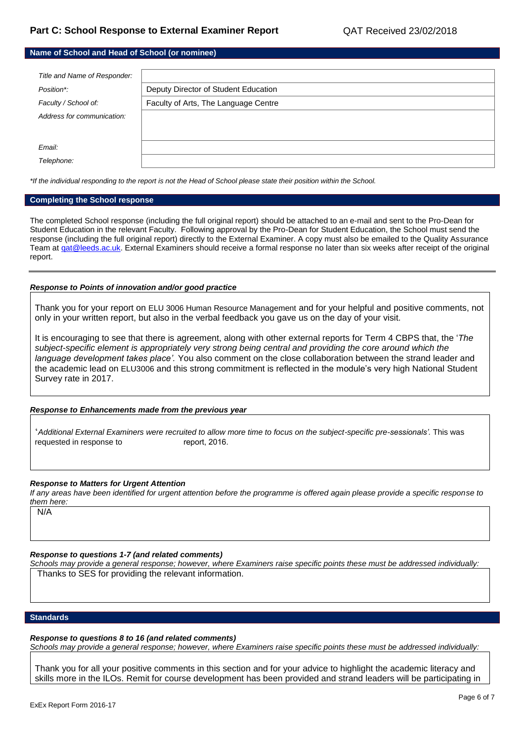| Name of School and Head of School (or nominee) |                                      |  |
|------------------------------------------------|--------------------------------------|--|
|                                                |                                      |  |
| Title and Name of Responder:                   |                                      |  |
| Position*:                                     | Deputy Director of Student Education |  |
| Faculty / School of:                           | Faculty of Arts, The Language Centre |  |
| Address for communication:                     |                                      |  |
|                                                |                                      |  |
| Email:                                         |                                      |  |
|                                                |                                      |  |
| Telephone:                                     |                                      |  |

*\*If the individual responding to the report is not the Head of School please state their position within the School.*

#### **Completing the School response**

The completed School response (including the full original report) should be attached to an e-mail and sent to the Pro-Dean for Student Education in the relevant Faculty. Following approval by the Pro-Dean for Student Education, the School must send the response (including the full original report) directly to the External Examiner. A copy must also be emailed to the Quality Assurance Team at gat@leeds.ac.uk. External Examiners should receive a formal response no later than six weeks after receipt of the original report.

#### *Response to Points of innovation and/or good practice*

Thank you for your report on ELU 3006 Human Resource Management and for your helpful and positive comments, not only in your written report, but also in the verbal feedback you gave us on the day of your visit.

It is encouraging to see that there is agreement, along with other external reports for Term 4 CBPS that, the '*The subject-specific element is appropriately very strong being central and providing the core around which the language development takes place'.* You also comment on the close collaboration between the strand leader and the academic lead on ELU3006 and this strong commitment is reflected in the module's very high National Student Survey rate in 2017.

#### *Response to Enhancements made from the previous year*

'*Additional External Examiners were recruited to allow more time to focus on the subject-specific pre-sessionals'.* This was requested in response to report, 2016.

#### *Response to Matters for Urgent Attention*

*If any areas have been identified for urgent attention before the programme is offered again please provide a specific response to them here:*

N/A

# *Response to questions 1-7 (and related comments)*

*Schools may provide a general response; however, where Examiners raise specific points these must be addressed individually:* Thanks to SES for providing the relevant information.

#### **Standards**

# *Response to questions 8 to 16 (and related comments)*

*Schools may provide a general response; however, where Examiners raise specific points these must be addressed individually:*

Thank you for all your positive comments in this section and for your advice to highlight the academic literacy and skills more in the ILOs. Remit for course development has been provided and strand leaders will be participating in